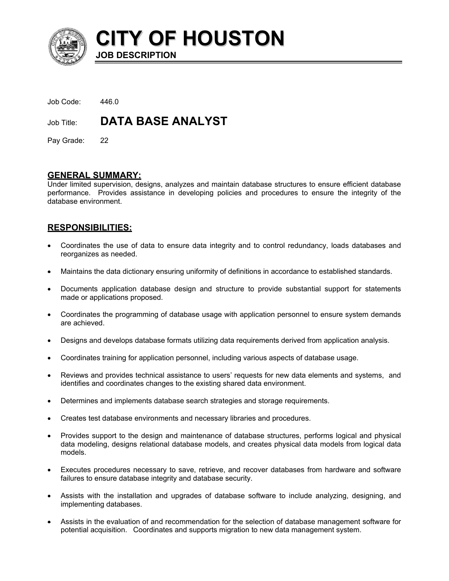

**CITY OF HOUSTON JOB DESCRIPTION**

| Job Code:  | 446.0                    |
|------------|--------------------------|
| Job Title: | <b>DATA BASE ANALYST</b> |

Pay Grade: 22

## **GENERAL SUMMARY:**

Under limited supervision, designs, analyzes and maintain database structures to ensure efficient database performance. Provides assistance in developing policies and procedures to ensure the integrity of the database environment.

## **RESPONSIBILITIES:**

- Coordinates the use of data to ensure data integrity and to control redundancy, loads databases and reorganizes as needed.
- Maintains the data dictionary ensuring uniformity of definitions in accordance to established standards.
- Documents application database design and structure to provide substantial support for statements made or applications proposed.
- Coordinates the programming of database usage with application personnel to ensure system demands are achieved.
- Designs and develops database formats utilizing data requirements derived from application analysis.
- Coordinates training for application personnel, including various aspects of database usage.
- Reviews and provides technical assistance to users' requests for new data elements and systems, and identifies and coordinates changes to the existing shared data environment.
- Determines and implements database search strategies and storage requirements.
- Creates test database environments and necessary libraries and procedures.
- Provides support to the design and maintenance of database structures, performs logical and physical data modeling, designs relational database models, and creates physical data models from logical data models.
- Executes procedures necessary to save, retrieve, and recover databases from hardware and software failures to ensure database integrity and database security.
- Assists with the installation and upgrades of database software to include analyzing, designing, and implementing databases.
- Assists in the evaluation of and recommendation for the selection of database management software for potential acquisition. Coordinates and supports migration to new data management system.